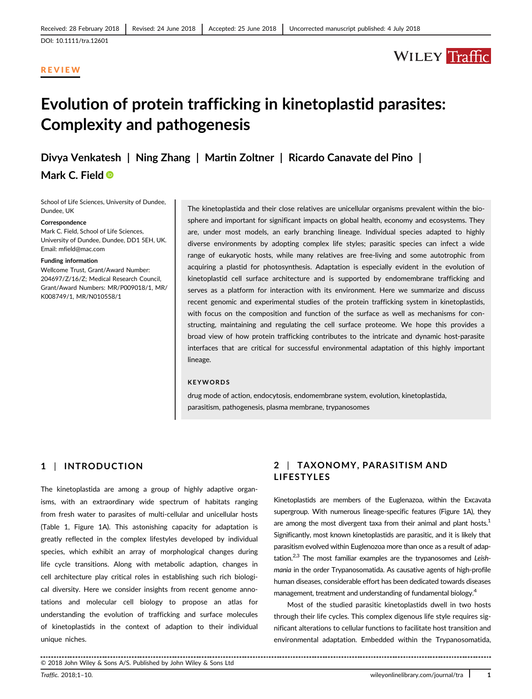#### REVIEW

# **WILEY** Traffic

# Evolution of protein trafficking in kinetoplastid parasites: Complexity and pathogenesis

Divya Venkatesh | Ning Zhang | Martin Zoltner | Ricardo Canavate del Pino |

Mark C. Field ®

School of Life Sciences, University of Dundee, Dundee, UK

#### **Correspondence**

Mark C. Field, School of Life Sciences University of Dundee, Dundee, DD1 5EH, UK. Email: [mfield@mac.com](mailto:mfield@mac.com)

#### Funding information

Wellcome Trust, Grant/Award Number: 204697/Z/16/Z; Medical Research Council, Grant/Award Numbers: MR/P009018/1, MR/ K008749/1, MR/N010558/1

The kinetoplastida and their close relatives are unicellular organisms prevalent within the biosphere and important for significant impacts on global health, economy and ecosystems. They are, under most models, an early branching lineage. Individual species adapted to highly diverse environments by adopting complex life styles; parasitic species can infect a wide range of eukaryotic hosts, while many relatives are free-living and some autotrophic from acquiring a plastid for photosynthesis. Adaptation is especially evident in the evolution of kinetoplastid cell surface architecture and is supported by endomembrane trafficking and serves as a platform for interaction with its environment. Here we summarize and discuss recent genomic and experimental studies of the protein trafficking system in kinetoplastids, with focus on the composition and function of the surface as well as mechanisms for constructing, maintaining and regulating the cell surface proteome. We hope this provides a broad view of how protein trafficking contributes to the intricate and dynamic host-parasite interfaces that are critical for successful environmental adaptation of this highly important lineage.

#### **KEYWORDS**

drug mode of action, endocytosis, endomembrane system, evolution, kinetoplastida, parasitism, pathogenesis, plasma membrane, trypanosomes

#### 1 | INTRODUCTION

The kinetoplastida are among a group of highly adaptive organisms, with an extraordinary wide spectrum of habitats ranging from fresh water to parasites of multi-cellular and unicellular hosts (Table 1, Figure 1A). This astonishing capacity for adaptation is greatly reflected in the complex lifestyles developed by individual species, which exhibit an array of morphological changes during life cycle transitions. Along with metabolic adaption, changes in cell architecture play critical roles in establishing such rich biological diversity. Here we consider insights from recent genome annotations and molecular cell biology to propose an atlas for understanding the evolution of trafficking and surface molecules of kinetoplastids in the context of adaption to their individual unique niches.

### 2 | TAXONOMY, PARASITISM AND LIFESTYLES

Kinetoplastids are members of the Euglenazoa, within the Excavata supergroup. With numerous lineage-specific features (Figure 1A), they are among the most divergent taxa from their animal and plant hosts.<sup>1</sup> Significantly, most known kinetoplastids are parasitic, and it is likely that parasitism evolved within Euglenozoa more than once as a result of adaptation.<sup>2,3</sup> The most familiar examples are the trypanosomes and Leishmania in the order Trypanosomatida. As causative agents of high-profile human diseases, considerable effort has been dedicated towards diseases management, treatment and understanding of fundamental biology.<sup>4</sup>

Most of the studied parasitic kinetoplastids dwell in two hosts through their life cycles. This complex digenous life style requires significant alterations to cellular functions to facilitate host transition and environmental adaptation. Embedded within the Trypanosomatida,

© 2018 John Wiley & Sons A/S. Published by John Wiley & Sons Ltd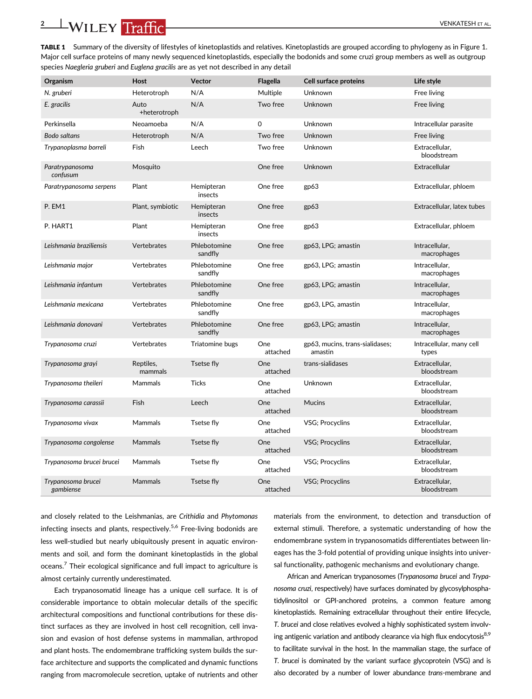TABLE 1 Summary of the diversity of lifestyles of kinetoplastids and relatives. Kinetoplastids are grouped according to phylogeny as in Figure 1. Major cell surface proteins of many newly sequenced kinetoplastids, especially the bodonids and some cruzi group members as well as outgroup species Naegleria gruberi and Euglena gracilis are as yet not described in any detail

| Organism                        | <b>Host</b>          | <b>Vector</b>           | <b>Flagella</b> | <b>Cell surface proteins</b>               | Life style                        |
|---------------------------------|----------------------|-------------------------|-----------------|--------------------------------------------|-----------------------------------|
| N. gruberi                      | Heterotroph          | N/A                     | Multiple        | Unknown                                    | Free living                       |
| E. gracilis                     | Auto<br>+heterotroph | N/A                     | Two free        | Unknown                                    | Free living                       |
| Perkinsella                     | Neoamoeba            | N/A                     | 0               | Unknown                                    | Intracellular parasite            |
| Bodo saltans                    | Heterotroph          | N/A                     | Two free        | Unknown                                    | Free living                       |
| Trypanoplasma borreli           | Fish                 | Leech                   | Two free        | Unknown                                    | Extracellular.<br>bloodstream     |
| Paratrypanosoma<br>confusum     | Mosquito             |                         | One free        | Unknown                                    | Extracellular                     |
| Paratrypanosoma serpens         | Plant                | Hemipteran<br>insects   | One free        | gp63                                       | Extracellular, phloem             |
| P. EM1                          | Plant, symbiotic     | Hemipteran<br>insects   | One free        | gp63                                       | Extracellular, latex tubes        |
| P. HART1                        | Plant                | Hemipteran<br>insects   | One free        | gp63                                       | Extracellular, phloem             |
| Leishmania braziliensis         | Vertebrates          | Phlebotomine<br>sandfly | One free        | gp63, LPG; amastin                         | Intracellular,<br>macrophages     |
| Leishmania major                | Vertebrates          | Phlebotomine<br>sandfly | One free        | gp63, LPG; amastin                         | Intracellular,<br>macrophages     |
| Leishmania infantum             | Vertebrates          | Phlebotomine<br>sandfly | One free        | gp63, LPG; amastin                         | Intracellular,<br>macrophages     |
| Leishmania mexicana             | Vertebrates          | Phlebotomine<br>sandfly | One free        | gp63, LPG, amastin                         | Intracellular,<br>macrophages     |
| Leishmania donovani             | Vertebrates          | Phlebotomine<br>sandfly | One free        | gp63, LPG; amastin                         | Intracellular.<br>macrophages     |
| Trypanosoma cruzi               | Vertebrates          | Triatomine bugs         | One<br>attached | gp63, mucins, trans-sialidases;<br>amastin | Intracellular, many cell<br>types |
| Trypanosoma grayi               | Reptiles,<br>mammals | Tsetse fly              | One<br>attached | trans-sialidases                           | Extracellular,<br>bloodstream     |
| Trypanosoma theileri            | <b>Mammals</b>       | <b>Ticks</b>            | One<br>attached | Unknown                                    | Extracellular.<br>bloodstream     |
| Trypanosoma carassii            | Fish                 | Leech                   | One<br>attached | <b>Mucins</b>                              | Extracellular,<br>bloodstream     |
| Trypanosoma vivax               | Mammals              | Tsetse fly              | One<br>attached | VSG; Procyclins                            | Extracellular,<br>bloodstream     |
| Trypanosoma congolense          | <b>Mammals</b>       | Tsetse fly              | One<br>attached | VSG; Procyclins                            | Extracellular,<br>bloodstream     |
| Trypanosoma brucei brucei       | Mammals              | Tsetse fly              | One<br>attached | VSG; Procyclins                            | Extracellular,<br>bloodstream     |
| Trypanosoma brucei<br>gambiense | Mammals              | Tsetse fly              | One<br>attached | VSG; Procyclins                            | Extracellular,<br>bloodstream     |

and closely related to the Leishmanias, are Crithidia and Phytomonas infecting insects and plants, respectively.<sup>5,6</sup> Free-living bodonids are less well-studied but nearly ubiquitously present in aquatic environments and soil, and form the dominant kinetoplastids in the global oceans.<sup>7</sup> Their ecological significance and full impact to agriculture is almost certainly currently underestimated.

Each trypanosomatid lineage has a unique cell surface. It is of considerable importance to obtain molecular details of the specific architectural compositions and functional contributions for these distinct surfaces as they are involved in host cell recognition, cell invasion and evasion of host defense systems in mammalian, arthropod and plant hosts. The endomembrane trafficking system builds the surface architecture and supports the complicated and dynamic functions ranging from macromolecule secretion, uptake of nutrients and other

materials from the environment, to detection and transduction of external stimuli. Therefore, a systematic understanding of how the endomembrane system in trypanosomatids differentiates between lineages has the 3-fold potential of providing unique insights into universal functionality, pathogenic mechanisms and evolutionary change.

African and American trypanosomes (Trypanosoma brucei and Trypanosoma cruzi, respectively) have surfaces dominated by glycosylphosphatidylinositol or GPI-anchored proteins, a common feature among kinetoplastids. Remaining extracellular throughout their entire lifecycle, T. brucei and close relatives evolved a highly sophisticated system involving antigenic variation and antibody clearance via high flux endocytosis<sup>8,9</sup> to facilitate survival in the host. In the mammalian stage, the surface of T. brucei is dominated by the variant surface glycoprotein (VSG) and is also decorated by a number of lower abundance trans-membrane and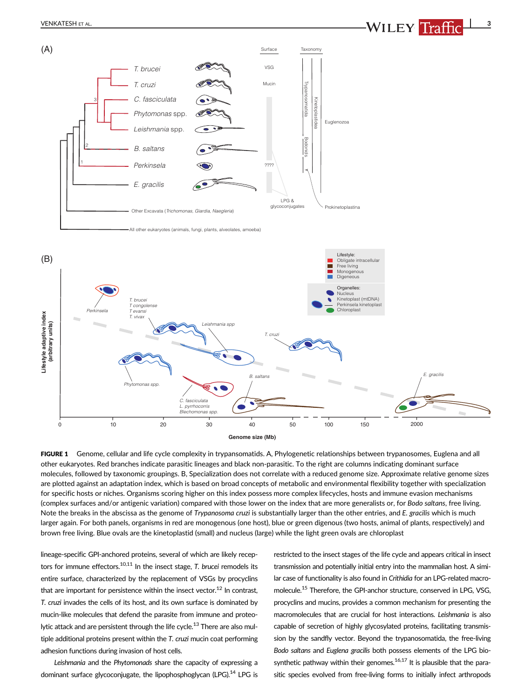



10 20 30 40 50 100 150

FIGURE 1 Genome, cellular and life cycle complexity in trypansomatids. A, Phylogenetic relationships between trypanosomes, Euglena and all other eukaryotes. Red branches indicate parasitic lineages and black non-parasitic. To the right are columns indicating dominant surface molecules, followed by taxonomic groupings. B, Specialization does not correlate with a reduced genome size. Approximate relative genome sizes are plotted against an adaptation index, which is based on broad concepts of metabolic and environmental flexibility together with specialization for specific hosts or niches. Organisms scoring higher on this index possess more complex lifecycles, hosts and immune evasion mechanisms (complex surfaces and/or antigenic variation) compared with those lower on the index that are more generalists or, for Bodo saltans, free living. Note the breaks in the abscissa as the genome of Trypanosoma cruzi is substantially larger than the other entries, and E. gracilis which is much larger again. For both panels, organisms in red are monogenous (one host), blue or green digenous (two hosts, animal of plants, respectively) and brown free living. Blue ovals are the kinetoplastid (small) and nucleus (large) while the light green ovals are chloroplast

lineage-specific GPI-anchored proteins, several of which are likely receptors for immune effectors.<sup>10,11</sup> In the insect stage, T. brucei remodels its entire surface, characterized by the replacement of VSGs by procyclins that are important for persistence within the insect vector.<sup>12</sup> In contrast, T. cruzi invades the cells of its host, and its own surface is dominated by mucin-like molecules that defend the parasite from immune and proteolytic attack and are persistent through the life cycle.<sup>13</sup> There are also multiple additional proteins present within the T. cruzi mucin coat performing adhesion functions during invasion of host cells.

0

Leishmania and the Phytomonads share the capacity of expressing a dominant surface glycoconjugate, the lipophosphoglycan (LPG).<sup>14</sup> LPG is restricted to the insect stages of the life cycle and appears critical in insect transmission and potentially initial entry into the mammalian host. A similar case of functionality is also found in Crithidia for an LPG-related macromolecule.15 Therefore, the GPI-anchor structure, conserved in LPG, VSG, procyclins and mucins, provides a common mechanism for presenting the macromolecules that are crucial for host interactions. Leishmania is also capable of secretion of highly glycosylated proteins, facilitating transmission by the sandfly vector. Beyond the trypanosomatida, the free-living Bodo saltans and Euglena gracilis both possess elements of the LPG biosynthetic pathway within their genomes.<sup>16,17</sup> It is plausible that the parasitic species evolved from free-living forms to initially infect arthropods

2000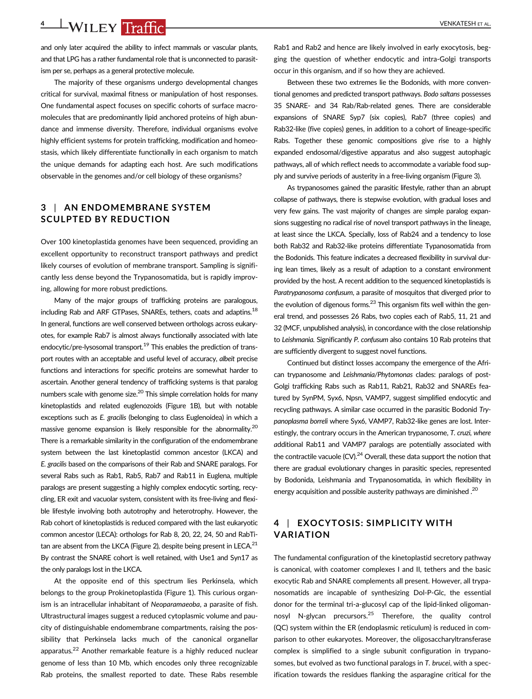## 4 VENKATESH ET AL.

and only later acquired the ability to infect mammals or vascular plants, and that LPG has a rather fundamental role that is unconnected to parasitism per se, perhaps as a general protective molecule.

The majority of these organisms undergo developmental changes critical for survival, maximal fitness or manipulation of host responses. One fundamental aspect focuses on specific cohorts of surface macromolecules that are predominantly lipid anchored proteins of high abundance and immense diversity. Therefore, individual organisms evolve highly efficient systems for protein trafficking, modification and homeostasis, which likely differentiate functionally in each organism to match the unique demands for adapting each host. Are such modifications observable in the genomes and/or cell biology of these organisms?

### 3 | AN ENDOMEMBRANE SYSTEM SCULPTED BY REDUCTION

Over 100 kinetoplastida genomes have been sequenced, providing an excellent opportunity to reconstruct transport pathways and predict likely courses of evolution of membrane transport. Sampling is significantly less dense beyond the Trypanosomatida, but is rapidly improving, allowing for more robust predictions.

Many of the major groups of trafficking proteins are paralogous, including Rab and ARF GTPases, SNAREs, tethers, coats and adaptins.<sup>18</sup> In general, functions are well conserved between orthologs across eukaryotes, for example Rab7 is almost always functionally associated with late endocytic/pre-lysosomal transport.<sup>19</sup> This enables the prediction of transport routes with an acceptable and useful level of accuracy, albeit precise functions and interactions for specific proteins are somewhat harder to ascertain. Another general tendency of trafficking systems is that paralog numbers scale with genome size.<sup>20</sup> This simple correlation holds for many kinetoplastids and related euglenozoids (Figure 1B), but with notable exceptions such as E. gracilis (belonging to class Euglenoidea) in which a massive genome expansion is likely responsible for the abnormality.<sup>20</sup> There is a remarkable similarity in the configuration of the endomembrane system between the last kinetoplastid common ancestor (LKCA) and E. gracilis based on the comparisons of their Rab and SNARE paralogs. For several Rabs such as Rab1, Rab5, Rab7 and Rab11 in Euglena, multiple paralogs are present suggesting a highly complex endocytic sorting, recycling, ER exit and vacuolar system, consistent with its free-living and flexible lifestyle involving both autotrophy and heterotrophy. However, the Rab cohort of kinetoplastids is reduced compared with the last eukaryotic common ancestor (LECA): orthologs for Rab 8, 20, 22, 24, 50 and RabTitan are absent from the LKCA (Figure 2), despite being present in LECA. $^{21}$ By contrast the SNARE cohort is well retained, with Use1 and Syn17 as the only paralogs lost in the LKCA.

At the opposite end of this spectrum lies Perkinsela, which belongs to the group Prokinetoplastida (Figure 1). This curious organism is an intracellular inhabitant of Neoparamaeoba, a parasite of fish. Ultrastructural images suggest a reduced cytoplasmic volume and paucity of distinguishable endomembrane compartments, raising the possibility that Perkinsela lacks much of the canonical organellar apparatus.<sup>22</sup> Another remarkable feature is a highly reduced nuclear genome of less than 10 Mb, which encodes only three recognizable Rab proteins, the smallest reported to date. These Rabs resemble

Rab1 and Rab2 and hence are likely involved in early exocytosis, begging the question of whether endocytic and intra-Golgi transports occur in this organism, and if so how they are achieved.

Between these two extremes lie the Bodonids, with more conventional genomes and predicted transport pathways. Bodo saltans possesses 35 SNARE- and 34 Rab/Rab-related genes. There are considerable expansions of SNARE Syp7 (six copies), Rab7 (three copies) and Rab32-like (five copies) genes, in addition to a cohort of lineage-specific Rabs. Together these genomic compositions give rise to a highly expanded endosomal/digestive apparatus and also suggest autophagic pathways, all of which reflect needs to accommodate a variable food supply and survive periods of austerity in a free-living organism (Figure 3).

As trypanosomes gained the parasitic lifestyle, rather than an abrupt collapse of pathways, there is stepwise evolution, with gradual loses and very few gains. The vast majority of changes are simple paralog expansions suggesting no radical rise of novel transport pathways in the lineage, at least since the LKCA. Specially, loss of Rab24 and a tendency to lose both Rab32 and Rab32-like proteins differentiate Typanosomatida from the Bodonids. This feature indicates a decreased flexibility in survival during lean times, likely as a result of adaption to a constant environment provided by the host. A recent addition to the sequenced kinetoplastids is Paratrypanosoma confusum, a parasite of mosquitos that diverged prior to the evolution of digenous forms. $^{23}$  This organism fits well within the general trend, and possesses 26 Rabs, two copies each of Rab5, 11, 21 and 32 (MCF, unpublished analysis), in concordance with the close relationship to Leishmania. Significantly P. confusum also contains 10 Rab proteins that are sufficiently divergent to suggest novel functions.

Continued but distinct losses accompany the emergence of the African trypanosome and Leishmania/Phytomonas clades: paralogs of post-Golgi trafficking Rabs such as Rab11, Rab21, Rab32 and SNAREs featured by SynPM, Syx6, Npsn, VAMP7, suggest simplified endocytic and recycling pathways. A similar case occurred in the parasitic Bodonid Trypanoplasma borreli where Syx6, VAMP7, Rab32-like genes are lost. Interestingly, the contrary occurs in the American trypanosome, T. cruzi, where additional Rab11 and VAMP7 paralogs are potentially associated with the contractile vacuole  $(CV)$ .<sup>24</sup> Overall, these data support the notion that there are gradual evolutionary changes in parasitic species, represented by Bodonida, Leishmania and Trypanosomatida, in which flexibility in energy acquisition and possible austerity pathways are diminished.<sup>20</sup>

### 4 | EXOCYTOSIS: SIMPLICITY WITH VARIATION

The fundamental configuration of the kinetoplastid secretory pathway is canonical, with coatomer complexes I and II, tethers and the basic exocytic Rab and SNARE complements all present. However, all trypanosomatids are incapable of synthesizing Dol-P-Glc, the essential donor for the terminal tri-a-glucosyl cap of the lipid-linked oligomannosyl N-glycan precursors.<sup>25</sup> Therefore, the quality control (QC) system within the ER (endoplasmic reticulum) is reduced in comparison to other eukaryotes. Moreover, the oligosaccharyltransferase complex is simplified to a single subunit configuration in trypanosomes, but evolved as two functional paralogs in T. brucei, with a specification towards the residues flanking the asparagine critical for the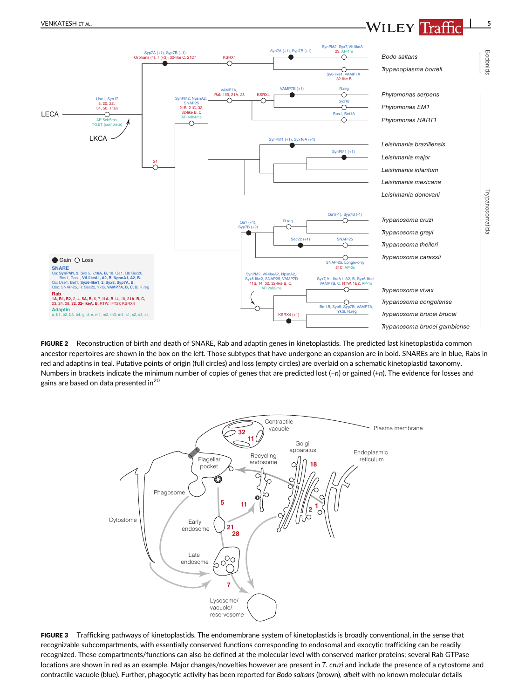## VENKATESH ET AL. **The contract of the contract of the contract of the contract of the contract of the contract of the contract of the contract of the contract of the contract of the contract of the contract of the contract**



FIGURE 2 Reconstruction of birth and death of SNARE, Rab and adaptin genes in kinetoplastids. The predicted last kinetoplastida common ancestor repertoires are shown in the box on the left. Those subtypes that have undergone an expansion are in bold. SNAREs are in blue, Rabs in red and adaptins in teal. Putative points of origin (full circles) and loss (empty circles) are overlaid on a schematic kinetoplastid taxonomy. Numbers in brackets indicate the minimum number of copies of genes that are predicted lost (−n) or gained (+n). The evidence for losses and gains are based on data presented in<sup>20</sup>



FIGURE 3 Trafficking pathways of kinetoplastids. The endomembrane system of kinetoplastids is broadly conventional, in the sense that recognizable subcompartments, with essentially conserved functions corresponding to endosomal and exocytic trafficking can be readily recognized. These compartments/functions can also be defined at the molecular level with conserved marker proteins; several Rab GTPase locations are shown in red as an example. Major changes/novelties however are present in T. cruzi and include the presence of a cytostome and contractile vacuole (blue). Further, phagocytic activity has been reported for Bodo saltans (brown), albeit with no known molecular details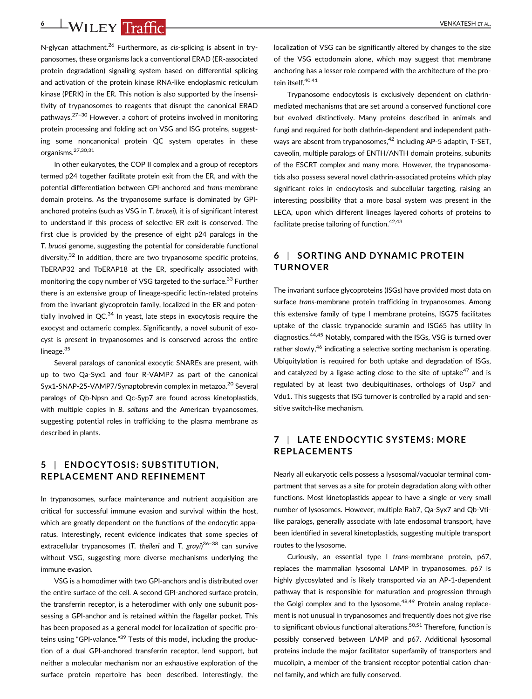## 6 VENKATESH ET AL.

N-glycan attachment.<sup>26</sup> Furthermore, as cis-splicing is absent in trypanosomes, these organisms lack a conventional ERAD (ER-associated protein degradation) signaling system based on differential splicing and activation of the protein kinase RNA-like endoplasmic reticulum kinase (PERK) in the ER. This notion is also supported by the insensitivity of trypanosomes to reagents that disrupt the canonical ERAD pathways.27–<sup>30</sup> However, a cohort of proteins involved in monitoring protein processing and folding act on VSG and ISG proteins, suggesting some noncanonical protein QC system operates in these organisms.27,30,31

In other eukaryotes, the COP II complex and a group of receptors termed p24 together facilitate protein exit from the ER, and with the potential differentiation between GPI-anchored and trans-membrane domain proteins. As the trypanosome surface is dominated by GPIanchored proteins (such as VSG in T. brucei), it is of significant interest to understand if this process of selective ER exit is conserved. The first clue is provided by the presence of eight p24 paralogs in the T. brucei genome, suggesting the potential for considerable functional diversity. $32$  In addition, there are two trypanosome specific proteins, TbERAP32 and TbERAP18 at the ER, specifically associated with monitoring the copy number of VSG targeted to the surface.<sup>33</sup> Further there is an extensive group of lineage-specific lectin-related proteins from the invariant glycoprotein family, localized in the ER and potentially involved in  $QC^{34}$  In yeast, late steps in exocytosis require the exocyst and octameric complex. Significantly, a novel subunit of exocyst is present in trypanosomes and is conserved across the entire lineage.<sup>35</sup>

Several paralogs of canonical exocytic SNAREs are present, with up to two Qa-Syx1 and four R-VAMP7 as part of the canonical Syx1-SNAP-25-VAMP7/Synaptobrevin complex in metazoa.<sup>20</sup> Several paralogs of Qb-Npsn and Qc-Syp7 are found across kinetoplastids, with multiple copies in B. saltans and the American trypanosomes, suggesting potential roles in trafficking to the plasma membrane as described in plants.

### 5 | ENDOCYTOSIS: SUBSTITUTION, REPLACEMENT AND REFINEMENT

In trypanosomes, surface maintenance and nutrient acquisition are critical for successful immune evasion and survival within the host, which are greatly dependent on the functions of the endocytic apparatus. Interestingly, recent evidence indicates that some species of extracellular trypanosomes (T. theileri and T. grayi)<sup>36-38</sup> can survive without VSG, suggesting more diverse mechanisms underlying the immune evasion.

VSG is a homodimer with two GPI-anchors and is distributed over the entire surface of the cell. A second GPI-anchored surface protein, the transferrin receptor, is a heterodimer with only one subunit possessing a GPI-anchor and is retained within the flagellar pocket. This has been proposed as a general model for localization of specific proteins using "GPI-valance."<sup>39</sup> Tests of this model, including the production of a dual GPI-anchored transferrin receptor, lend support, but neither a molecular mechanism nor an exhaustive exploration of the surface protein repertoire has been described. Interestingly, the localization of VSG can be significantly altered by changes to the size of the VSG ectodomain alone, which may suggest that membrane anchoring has a lesser role compared with the architecture of the protein itself.<sup>40,41</sup>

Trypanosome endocytosis is exclusively dependent on clathrinmediated mechanisms that are set around a conserved functional core but evolved distinctively. Many proteins described in animals and fungi and required for both clathrin-dependent and independent pathways are absent from trypanosomes, $42$  including AP-5 adaptin, T-SET, caveolin, multiple paralogs of ENTH/ANTH domain proteins, subunits of the ESCRT complex and many more. However, the trypanosomatids also possess several novel clathrin-associated proteins which play significant roles in endocytosis and subcellular targeting, raising an interesting possibility that a more basal system was present in the LECA, upon which different lineages layered cohorts of proteins to facilitate precise tailoring of function.<sup>42,43</sup>

## 6 | SORTING AND DYNAMIC PROTEIN TURNOVER

The invariant surface glycoproteins (ISGs) have provided most data on surface trans-membrane protein trafficking in trypanosomes. Among this extensive family of type I membrane proteins, ISG75 facilitates uptake of the classic trypanocide suramin and ISG65 has utility in diagnostics.<sup>44,45</sup> Notably, compared with the ISGs, VSG is turned over rather slowly, $46$  indicating a selective sorting mechanism is operating. Ubiquitylation is required for both uptake and degradation of ISGs, and catalyzed by a ligase acting close to the site of uptake $47$  and is regulated by at least two deubiquitinases, orthologs of Usp7 and Vdu1. This suggests that ISG turnover is controlled by a rapid and sensitive switch-like mechanism.

## 7 | LATE ENDOCYTIC SYSTEMS: MORE REPLACEMENTS

Nearly all eukaryotic cells possess a lysosomal/vacuolar terminal compartment that serves as a site for protein degradation along with other functions. Most kinetoplastids appear to have a single or very small number of lysosomes. However, multiple Rab7, Qa-Syx7 and Qb-Vtilike paralogs, generally associate with late endosomal transport, have been identified in several kinetoplastids, suggesting multiple transport routes to the lysosome.

Curiously, an essential type I trans-membrane protein, p67, replaces the mammalian lysosomal LAMP in trypanosomes. p67 is highly glycosylated and is likely transported via an AP-1-dependent pathway that is responsible for maturation and progression through the Golgi complex and to the lysosome.<sup>48,49</sup> Protein analog replacement is not unusual in trypanosomes and frequently does not give rise to significant obvious functional alterations.<sup>50,51</sup> Therefore, function is possibly conserved between LAMP and p67. Additional lysosomal proteins include the major facilitator superfamily of transporters and mucolipin, a member of the transient receptor potential cation channel family, and which are fully conserved.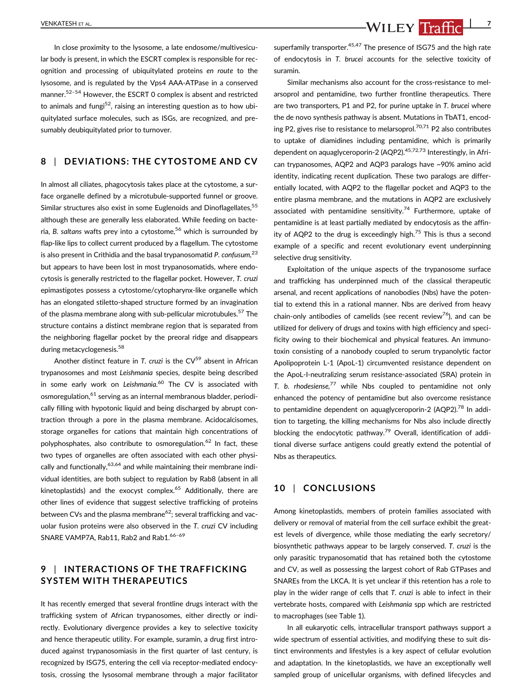VENKATESH ET AL. **The Contract Contract Contract Contract Contract Contract Contract Contract Contract Contract Contract Contract Contract Contract Contract Contract Contract Contract Contract Contract Contract Contract Co** 

In close proximity to the lysosome, a late endosome/multivesicular body is present, in which the ESCRT complex is responsible for recognition and processing of ubiquitylated proteins en route to the lysosome, and is regulated by the Vps4 AAA-ATPase in a conserved manner.<sup>52-54</sup> However, the ESCRT 0 complex is absent and restricted to animals and fungi<sup>52</sup>, raising an interesting question as to how ubiquitylated surface molecules, such as ISGs, are recognized, and presumably deubiquitylated prior to turnover.

#### 8 | DEVIATIONS: THE CYTOSTOME AND CV

In almost all ciliates, phagocytosis takes place at the cytostome, a surface organelle defined by a microtubule-supported funnel or groove. Similar structures also exist in some Euglenoids and Dinoflagellates.<sup>55</sup> although these are generally less elaborated. While feeding on bacteria, B. saltans wafts prey into a cytostome,<sup>56</sup> which is surrounded by flap-like lips to collect current produced by a flagellum. The cytostome is also present in Crithidia and the basal trypanosomatid P. confusum, $^{23}$ but appears to have been lost in most trypanosomatids, where endocytosis is generally restricted to the flagellar pocket. However, T. cruzi epimastigotes possess a cytostome/cytopharynx-like organelle which has an elongated stiletto-shaped structure formed by an invagination of the plasma membrane along with sub-pellicular microtubules.<sup>57</sup> The structure contains a distinct membrane region that is separated from the neighboring flagellar pocket by the preoral ridge and disappears during metacyclogenesis.<sup>58</sup>

Another distinct feature in T. cruzi is the  $CV<sup>59</sup>$  absent in African trypanosomes and most Leishmania species, despite being described in some early work on Leishmania.<sup>60</sup> The CV is associated with osmoregulation,<sup>61</sup> serving as an internal membranous bladder, periodically filling with hypotonic liquid and being discharged by abrupt contraction through a pore in the plasma membrane. Acidocalcisomes, storage organelles for cations that maintain high concentrations of polyphosphates, also contribute to osmoregulation.<sup>62</sup> In fact, these two types of organelles are often associated with each other physically and functionally,  $63,64$  and while maintaining their membrane individual identities, are both subject to regulation by Rab8 (absent in all kinetoplastids) and the exocyst complex.<sup>65</sup> Additionally, there are other lines of evidence that suggest selective trafficking of proteins between CVs and the plasma membrane<sup>62</sup>; several trafficking and vacuolar fusion proteins were also observed in the T. cruzi CV including SNARE VAMP7A, Rab11, Rab2 and Rab1.<sup>66-69</sup>

## 9 | INTERACTIONS OF THE TRAFFICKING SYSTEM WITH THERAPEUTICS

It has recently emerged that several frontline drugs interact with the trafficking system of African trypanosomes, either directly or indirectly. Evolutionary divergence provides a key to selective toxicity and hence therapeutic utility. For example, suramin, a drug first introduced against trypanosomiasis in the first quarter of last century, is recognized by ISG75, entering the cell via receptor-mediated endocytosis, crossing the lysosomal membrane through a major facilitator superfamily transporter.<sup>45,47</sup> The presence of ISG75 and the high rate of endocytosis in T. brucei accounts for the selective toxicity of suramin.

Similar mechanisms also account for the cross-resistance to melarsoprol and pentamidine, two further frontline therapeutics. There are two transporters, P1 and P2, for purine uptake in T. brucei where the de novo synthesis pathway is absent. Mutations in TbAT1, encoding P2, gives rise to resistance to melarsoprol.<sup>70,71</sup> P2 also contributes to uptake of diamidines including pentamidine, which is primarily dependent on aquaglyceroporin-2 (AQP2).<sup>45,72,73</sup> Interestingly, in African trypanosomes, AQP2 and AQP3 paralogs have ~90% amino acid identity, indicating recent duplication. These two paralogs are differentially located, with AQP2 to the flagellar pocket and AQP3 to the entire plasma membrane, and the mutations in AQP2 are exclusively associated with pentamidine sensitivity.<sup>74</sup> Furthermore, uptake of pentamidine is at least partially mediated by endocytosis as the affinity of AQP2 to the drug is exceedingly high.<sup>75</sup> This is thus a second example of a specific and recent evolutionary event underpinning selective drug sensitivity.

Exploitation of the unique aspects of the trypanosome surface and trafficking has underpinned much of the classical therapeutic arsenal, and recent applications of nanobodies (Nbs) have the potential to extend this in a rational manner. Nbs are derived from heavy chain-only antibodies of camelids (see recent review<sup>76</sup>), and can be utilized for delivery of drugs and toxins with high efficiency and specificity owing to their biochemical and physical features. An immunotoxin consisting of a nanobody coupled to serum trypanolytic factor Apolipoprotein L-1 (ApoL-1) circumvented resistance dependent on the ApoL-I-neutralizing serum resistance-associated (SRA) protein in T. b. rhodesiense, $77$  while Nbs coupled to pentamidine not only enhanced the potency of pentamidine but also overcome resistance to pentamidine dependent on aquaglyceroporin-2 (AQP2).<sup>78</sup> In addition to targeting, the killing mechanisms for Nbs also include directly blocking the endocytotic pathway.<sup>79</sup> Overall, identification of additional diverse surface antigens could greatly extend the potential of Nbs as therapeutics.

#### 10 | CONCLUSIONS

Among kinetoplastids, members of protein families associated with delivery or removal of material from the cell surface exhibit the greatest levels of divergence, while those mediating the early secretory/ biosynthetic pathways appear to be largely conserved. T. cruzi is the only parasitic trypanosomatid that has retained both the cytostome and CV, as well as possessing the largest cohort of Rab GTPases and SNAREs from the LKCA. It is yet unclear if this retention has a role to play in the wider range of cells that T. cruzi is able to infect in their vertebrate hosts, compared with Leishmania spp which are restricted to macrophages (see Table 1).

In all eukaryotic cells, intracellular transport pathways support a wide spectrum of essential activities, and modifying these to suit distinct environments and lifestyles is a key aspect of cellular evolution and adaptation. In the kinetoplastids, we have an exceptionally well sampled group of unicellular organisms, with defined lifecycles and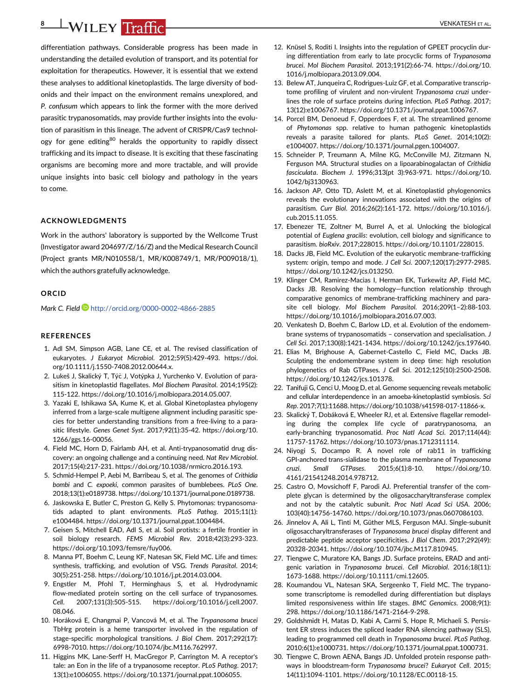# 8 | WILEY Traffic **| CONTRACTEMENT | CONTRACTES | ET AL.**

differentiation pathways. Considerable progress has been made in understanding the detailed evolution of transport, and its potential for exploitation for therapeutics. However, it is essential that we extend these analyses to additional kinetoplastids. The large diversity of bodonids and their impact on the environment remains unexplored, and P. confusum which appears to link the former with the more derived parasitic trypanosomatids, may provide further insights into the evolution of parasitism in this lineage. The advent of CRISPR/Cas9 technology for gene editing<sup>80</sup> heralds the opportunity to rapidly dissect trafficking and its impact to disease. It is exciting that these fascinating organisms are becoming more and more tractable, and will provide unique insights into basic cell biology and pathology in the years to come.

#### ACKNOWLEDGMENTS

Work in the authors' laboratory is supported by the Wellcome Trust (Investigator award 204697/Z/16/Z) and the Medical Research Council (Project grants MR/N010558/1, MR/K008749/1, MR/P009018/1), which the authors gratefully acknowledge.

#### **ORCID**

Mark C. Field **b** <http://orcid.org/0000-0002-4866-2885>

#### **REFERENCES**

- 1. Adl SM, Simpson AGB, Lane CE, et al. The revised classification of eukaryotes. J Eukaryot Microbiol. 2012;59(5):429-493. [https://doi.](https://doi.org/10.1111/j.1550-7408.2012.00644.x) [org/10.1111/j.1550-7408.2012.00644.x](https://doi.org/10.1111/j.1550-7408.2012.00644.x).
- 2. Lukeš J, Skalický T, Týč J, Votýpka J, Yurchenko V. Evolution of parasitism in kinetoplastid flagellates. Mol Biochem Parasitol. 2014;195(2): 115-122.<https://doi.org/10.1016/j.molbiopara.2014.05.007>.
- 3. Yazaki E, Ishikawa SA, Kume K, et al. Global Kinetoplastea phylogeny inferred from a large-scale multigene alignment including parasitic species for better understanding transitions from a free-living to a parasitic lifestyle. Genes Genet Syst. 2017;92(1):35-42. [https://doi.org/10.](https://doi.org/10.1266/ggs.16-00056) [1266/ggs.16-00056](https://doi.org/10.1266/ggs.16-00056).
- 4. Field MC, Horn D, Fairlamb AH, et al. Anti-trypanosomatid drug discovery: an ongoing challenge and a continuing need. Nat Rev Microbiol. 2017;15(4):217-231.<https://doi.org/10.1038/nrmicro.2016.193>.
- 5. Schmid-Hempel P, Aebi M, Barribeau S, et al. The genomes of Crithidia bombi and C. expoeki, common parasites of bumblebees. PLoS One. 2018;13(1):e0189738. [https://doi.org/10.1371/journal.pone.0189738.](https://doi.org/10.1371/journal.pone.0189738)
- 6. Jaskowska E, Butler C, Preston G, Kelly S. Phytomonas: trypanosomatids adapted to plant environments. PLoS Pathog. 2015;11(1): e1004484. [https://doi.org/10.1371/journal.ppat.1004484.](https://doi.org/10.1371/journal.ppat.1004484)
- 7. Geisen S, Mitchell EAD, Adl S, et al. Soil protists: a fertile frontier in soil biology research. FEMS Microbiol Rev. 2018;42(3):293-323. [https://doi.org/10.1093/femsre/fuy006.](https://doi.org/10.1093/femsre/fuy006)
- 8. Manna PT, Boehm C, Leung KF, Natesan SK, Field MC. Life and times: synthesis, trafficking, and evolution of VSG. Trends Parasitol. 2014; 30(5):251-258. [https://doi.org/10.1016/j.pt.2014.03.004.](https://doi.org/10.1016/j.pt.2014.03.004)
- 9. Engstler M, Pfohl T, Herminghaus S, et al. Hydrodynamic flow-mediated protein sorting on the cell surface of trypanosomes. Cell. 2007;131(3):505-515. [https://doi.org/10.1016/j.cell.2007.](https://doi.org/10.1016/j.cell.2007.08.046) [08.046](https://doi.org/10.1016/j.cell.2007.08.046).
- 10. Horáková E, Changmai P, Vancová M, et al. The Trypanosoma brucei TbHrg protein is a heme transporter involved in the regulation of stage-specific morphological transitions. J Biol Chem. 2017;292(17): 6998-7010.<https://doi.org/10.1074/jbc.M116.762997>.
- 11. Higgins MK, Lane-Serff H, MacGregor P, Carrington M. A receptor's tale: an Eon in the life of a trypanosome receptor. PLoS Pathog. 2017; 13(1):e1006055. [https://doi.org/10.1371/journal.ppat.1006055.](https://doi.org/10.1371/journal.ppat.1006055)
- 12. Knüsel S, Roditi I. Insights into the regulation of GPEET procyclin during differentiation from early to late procyclic forms of Trypanosoma brucei. Mol Biochem Parasitol. 2013;191(2):66-74. [https://doi.org/10.](https://doi.org/10.1016/j.molbiopara.2013.09.004) [1016/j.molbiopara.2013.09.004.](https://doi.org/10.1016/j.molbiopara.2013.09.004)
- 13. Belew AT, Junqueira C, Rodrigues-Luiz GF, et al. Comparative transcriptome profiling of virulent and non-virulent Trypanosoma cruzi underlines the role of surface proteins during infection. PLoS Pathog. 2017; 13(12):e1006767. [https://doi.org/10.1371/journal.ppat.1006767.](https://doi.org/10.1371/journal.ppat.1006767)
- 14. Porcel BM, Denoeud F, Opperdoes F, et al. The streamlined genome of Phytomonas spp. relative to human pathogenic kinetoplastids reveals a parasite tailored for plants. PLoS Genet. 2014;10(2): e1004007. [https://doi.org/10.1371/journal.pgen.1004007.](https://doi.org/10.1371/journal.pgen.1004007)
- 15. Schneider P, Treumann A, Milne KG, McConville MJ, Zitzmann N, Ferguson MA. Structural studies on a lipoarabinogalactan of Crithidia fasciculata. Biochem J. 1996;313(pt 3):963-971. [https://doi.org/10.](https://doi.org/10.1042/bj3130963) [1042/bj3130963](https://doi.org/10.1042/bj3130963).
- 16. Jackson AP, Otto TD, Aslett M, et al. Kinetoplastid phylogenomics reveals the evolutionary innovations associated with the origins of parasitism. Curr Biol. 2016;26(2):161-172. [https://doi.org/10.1016/j.](https://doi.org/10.1016/j.cub.2015.11.055) [cub.2015.11.055](https://doi.org/10.1016/j.cub.2015.11.055).
- 17. Ebenezer TE, Zoltner M, Burrel A, et al. Unlocking the biological potential of Euglena gracilis: evolution, cell biology and significance to parasitism. bioRxiv. 2017;228015.<https://doi.org/10.1101/228015>.
- 18. Dacks JB, Field MC. Evolution of the eukaryotic membrane-trafficking system: origin, tempo and mode. J Cell Sci. 2007;120(17):2977-2985. [https://doi.org/10.1242/jcs.013250.](https://doi.org/10.1242/jcs.013250)
- 19. Klinger CM, Ramirez-Macias I, Herman EK, Turkewitz AP, Field MC, Dacks JB. Resolving the homology—function relationship through comparative genomics of membrane-trafficking machinery and parasite cell biology. Mol Biochem Parasitol. 2016;209(1–2):88-103. [https://doi.org/10.1016/j.molbiopara.2016.07.003.](https://doi.org/10.1016/j.molbiopara.2016.07.003)
- 20. Venkatesh D, Boehm C, Barlow LD, et al. Evolution of the endomembrane systems of trypanosomatids – conservation and specialisation. J Cell Sci. 2017;130(8):1421-1434. [https://doi.org/10.1242/jcs.197640.](https://doi.org/10.1242/jcs.197640)
- 21. Elias M, Brighouse A, Gabernet-Castello C, Field MC, Dacks JB. Sculpting the endomembrane system in deep time: high resolution phylogenetics of Rab GTPases. J Cell Sci. 2012;125(10):2500-2508. [https://doi.org/10.1242/jcs.101378.](https://doi.org/10.1242/jcs.101378)
- 22. Tanifuji G, Cenci U, Moog D, et al. Genome sequencing reveals metabolic and cellular interdependence in an amoeba-kinetoplastid symbiosis. Sci Rep. 2017;7(1):11688. [https://doi.org/10.1038/s41598-017-11866-x.](https://doi.org/10.1038/s41598-017-11866-x)
- 23. Skalický T, Dobáková E, Wheeler RJ, et al. Extensive flagellar remodeling during the complex life cycle of paratrypanosoma, an early-branching trypanosomatid. Proc Natl Acad Sci. 2017;114(44): 11757-11762.<https://doi.org/10.1073/pnas.1712311114>.
- 24. Niyogi S, Docampo R. A novel role of rab11 in trafficking GPI-anchored trans-sialidase to the plasma membrane of Trypanosoma cruzi. Small GTPases. 2015;6(1):8-10. [https://doi.org/10.](https://doi.org/10.4161/21541248.2014.978712) [4161/21541248.2014.978712](https://doi.org/10.4161/21541248.2014.978712).
- 25. Castro O, Movsichoff F, Parodi AJ. Preferential transfer of the complete glycan is determined by the oligosaccharyltransferase complex and not by the catalytic subunit. Proc Natl Acad Sci USA. 2006; 103(40):14756-14760. [https://doi.org/10.1073/pnas.0607086103.](https://doi.org/10.1073/pnas.0607086103)
- 26. Jinnelov A, Ali L, Tinti M, Güther MLS, Ferguson MAJ. Single-subunit oligosaccharyltransferases of Trypanosoma brucei display different and predictable peptide acceptor specificities. J Biol Chem. 2017;292(49): 20328-20341. [https://doi.org/10.1074/jbc.M117.810945.](https://doi.org/10.1074/jbc.M117.810945)
- 27. Tiengwe C, Muratore KA, Bangs JD. Surface proteins, ERAD and antigenic variation in Trypanosoma brucei. Cell Microbiol. 2016;18(11): 1673-1688.<https://doi.org/10.1111/cmi.12605>.
- 28. Koumandou VL, Natesan SKA, Sergeenko T, Field MC. The trypanosome transcriptome is remodelled during differentiation but displays limited responsiveness within life stages. BMC Genomics. 2008;9(1): 298.<https://doi.org/10.1186/1471-2164-9-298>.
- 29. Goldshmidt H, Matas D, Kabi A, Carmi S, Hope R, Michaeli S. Persistent ER stress induces the spliced leader RNA silencing pathway (SLS), leading to programmed cell death in Trypanosoma brucei. PLoS Pathog. 2010;6(1):e1000731. [https://doi.org/10.1371/journal.ppat.1000731.](https://doi.org/10.1371/journal.ppat.1000731)
- 30. Tiengwe C, Brown AENA, Bangs JD. Unfolded protein response pathways in bloodstream-form Trypanosoma brucei? Eukaryot Cell. 2015; 14(11):1094-1101. [https://doi.org/10.1128/EC.00118-15.](https://doi.org/10.1128/EC.00118-15)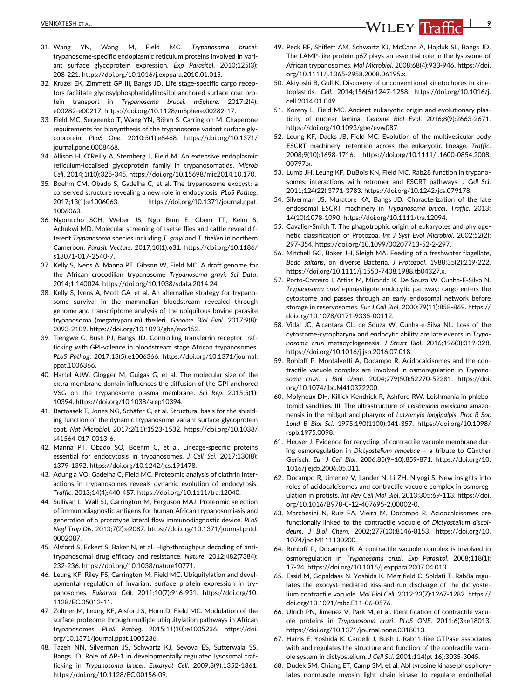- 31. Wang YN, Wang M, Field MC. Trypanosoma brucei: trypanosome-specific endoplasmic reticulum proteins involved in variant surface glycoprotein expression. Exp Parasitol. 2010;125(3): 208-221.<https://doi.org/10.1016/j.exppara.2010.01.015>.
- 32. Kruzel EK, Zimmett GP III, Bangs JD. Life stage-specific cargo receptors facilitate glycosylphosphatidylinositol-anchored surface coat protein transport in Trypanosoma brucei. mSphere. 2017;2(4): e00282-e00217. [https://doi.org/10.1128/mSphere.00282-17.](https://doi.org/10.1128/mSphere.00282-17)
- 33. Field MC, Sergeenko T, Wang YN, Böhm S, Carrington M. Chaperone requirements for biosynthesis of the trypanosome variant surface glycoprotein. PLoS One. 2010;5(1):e8468. [https://doi.org/10.1371/](https://doi.org/10.1371/journal.pone.0008468) [journal.pone.0008468.](https://doi.org/10.1371/journal.pone.0008468)
- 34. Allison H, O'Reilly A, Sternberg J, Field M. An extensive endoplasmic reticulum-localised glycoprotein family in trypanosomatids. Microb Cell. 2014;1(10):325-345. [https://doi.org/10.15698/mic2014.10.170.](https://doi.org/10.15698/mic2014.10.170)
- 35. Boehm CM, Obado S, Gadelha C, et al. The trypanosome exocyst: a conserved structure revealing a new role in endocytosis. PLoS Pathog. 2017;13(1):e1006063. [https://doi.org/10.1371/journal.ppat.](https://doi.org/10.1371/journal.ppat.1006063) [1006063.](https://doi.org/10.1371/journal.ppat.1006063)
- 36. Ngomtcho SCH, Weber JS, Ngo Bum E, Gbem TT, Kelm S, Achukwi MD. Molecular screening of tsetse flies and cattle reveal different Trypanosoma species including T. grayi and T. theileri in northern Cameroon. Parasit Vectors. 2017;10(1):631. [https://doi.org/10.1186/](https://doi.org/10.1186/s13071-017-2540-7) [s13071-017-2540-7](https://doi.org/10.1186/s13071-017-2540-7).
- 37. Kelly S, Ivens A, Manna PT, Gibson W, Field MC. A draft genome for the African crocodilian trypanosome Trypanosoma grayi. Sci Data. 2014;1:140024.<https://doi.org/10.1038/sdata.2014.24>.
- 38. Kelly S, Ivens A, Mott GA, et al. An alternative strategy for trypanosome survival in the mammalian bloodstream revealed through genome and transcriptome analysis of the ubiquitous bovine parasite trypanosoma (megatrypanum) theileri. Genome Biol Evol. 2017;9(8): 2093-2109.<https://doi.org/10.1093/gbe/evx152>.
- 39. Tiengwe C, Bush PJ, Bangs JD. Controlling transferrin receptor trafficking with GPI-valence in bloodstream stage African trypanosomes. PLoS Pathog. 2017;13(5):e1006366. [https://doi.org/10.1371/journal.](https://doi.org/10.1371/journal.ppat.1006366) [ppat.1006366](https://doi.org/10.1371/journal.ppat.1006366).
- 40. Hartel AJW, Glogger M, Guigas G, et al. The molecular size of the extra-membrane domain influences the diffusion of the GPI-anchored VSG on the trypanosome plasma membrane. Sci Rep. 2015;5(1): 10394. [https://doi.org/10.1038/srep10394.](https://doi.org/10.1038/srep10394)
- 41. Bartossek T, Jones NG, Schäfer C, et al. Structural basis for the shielding function of the dynamic trypanosome variant surface glycoprotein coat. Nat Microbiol. 2017;2(11):1523-1532. [https://doi.org/10.1038/](https://doi.org/10.1038/s41564-017-0013-6) [s41564-017-0013-6](https://doi.org/10.1038/s41564-017-0013-6).
- 42. Manna PT, Obado SO, Boehm C, et al. Lineage-specific proteins essential for endocytosis in trypanosomes. J Cell Sci. 2017;130(8): 1379-1392. [https://doi.org/10.1242/jcs.191478.](https://doi.org/10.1242/jcs.191478)
- 43. Adung'a VO, Gadelha C, Field MC. Proteomic analysis of clathrin interactions in trypanosomes reveals dynamic evolution of endocytosis. Traffic. 2013;14(4):440-457. [https://doi.org/10.1111/tra.12040.](https://doi.org/10.1111/tra.12040)
- 44. Sullivan L, Wall SJ, Carrington M, Ferguson MAJ. Proteomic selection of immunodiagnostic antigens for human African trypanosomiasis and generation of a prototype lateral flow immunodiagnostic device. PLoS Negl Trop Dis. 2013;7(2):e2087. [https://doi.org/10.1371/journal.pntd.](https://doi.org/10.1371/journal.pntd.0002087) [0002087.](https://doi.org/10.1371/journal.pntd.0002087)
- 45. Alsford S, Eckert S, Baker N, et al. High-throughput decoding of antitrypanosomal drug efficacy and resistance. Nature. 2012;482(7384): 232-236. [https://doi.org/10.1038/nature10771.](https://doi.org/10.1038/nature10771)
- 46. Leung KF, Riley FS, Carrington M, Field MC. Ubiquitylation and developmental regulation of invariant surface protein expression in trypanosomes. Eukaryot Cell. 2011;10(7):916-931. [https://doi.org/10.](https://doi.org/10.1128/EC.05012-11) [1128/EC.05012-11](https://doi.org/10.1128/EC.05012-11).
- 47. Zoltner M, Leung KF, Alsford S, Horn D, Field MC. Modulation of the surface proteome through multiple ubiquitylation pathways in African trypanosomes. PLoS Pathog. 2015;11(10):e1005236. [https://doi.](https://doi.org/10.1371/journal.ppat.1005236) [org/10.1371/journal.ppat.1005236](https://doi.org/10.1371/journal.ppat.1005236).
- 48. Tazeh NN, Silverman JS, Schwartz KJ, Sevova ES, Sutterwala SS, Bangs JD. Role of AP-1 in developmentally regulated lysosomal trafficking in Trypanosoma brucei. Eukaryot Cell. 2009;8(9):1352-1361. [https://doi.org/10.1128/EC.00156-09.](https://doi.org/10.1128/EC.00156-09)
- 49. Peck RF, Shiflett AM, Schwartz KJ, McCann A, Hajduk SL, Bangs JD. The LAMP-like protein p67 plays an essential role in the lysosome of African trypanosomes. Mol Microbiol. 2008;68(4):933-946. [https://doi.](https://doi.org/10.1111/j.1365-2958.2008.06195.x) [org/10.1111/j.1365-2958.2008.06195.x.](https://doi.org/10.1111/j.1365-2958.2008.06195.x)
- 50. Akiyoshi B, Gull K. Discovery of unconventional kinetochores in kinetoplastids. Cell. 2014;156(6):1247-1258. [https://doi.org/10.1016/j.](https://doi.org/10.1016/j.cell.2014.01.049) [cell.2014.01.049](https://doi.org/10.1016/j.cell.2014.01.049).
- 51. Koreny L, Field MC. Ancient eukaryotic origin and evolutionary plasticity of nuclear lamina. Genome Biol Evol. 2016;8(9):2663-2671. [https://doi.org/10.1093/gbe/evw087.](https://doi.org/10.1093/gbe/evw087)
- 52. Leung KF, Dacks JB, Field MC. Evolution of the multivesicular body ESCRT machinery; retention across the eukaryotic lineage. Traffic. 2008;9(10):1698-1716. [https://doi.org/10.1111/j.1600-0854.2008.](https://doi.org/10.1111/j.1600-0854.2008.00797.x) [00797.x.](https://doi.org/10.1111/j.1600-0854.2008.00797.x)
- 53. Lumb JH, Leung KF, DuBois KN, Field MC. Rab28 function in trypanosomes: interactions with retromer and ESCRT pathways. J Cell Sci. 2011;124(22):3771-3783.<https://doi.org/10.1242/jcs.079178>.
- 54. Silverman JS, Muratore KA, Bangs JD. Characterization of the late endosomal ESCRT machinery in Trypanosoma brucei. Traffic. 2013; 14(10):1078-1090. [https://doi.org/10.1111/tra.12094.](https://doi.org/10.1111/tra.12094)
- 55. Cavalier-Smith T. The phagotrophic origin of eukaryotes and phylogenetic classification of Protozoa. Int J Syst Evol Microbiol. 2002;52(2): 297-354. [https://doi.org/10.1099/00207713-52-2-297.](https://doi.org/10.1099/00207713-52-2-297)
- 56. Mitchell GC, Baker JH, Sleigh MA. Feeding of a freshwater flagellate, Bodo saltans, on diverse Bacteria. J Protozool. 1988;35(2):219-222. [https://doi.org/10.1111/j.1550-7408.1988.tb04327.x.](https://doi.org/10.1111/j.1550-7408.1988.tb04327.x)
- 57. Porto-Carreiro I, Attias M, Miranda K, De Souza W, Cunha-E-Silva N. Trypanosoma cruzi epimastigote endocytic pathway: cargo enters the cytostome and passes through an early endosomal network before storage in reservosomes. Eur J Cell Biol. 2000;79(11):858-869. [https://](https://doi.org/10.1078/0171-9335-00112) [doi.org/10.1078/0171-9335-00112.](https://doi.org/10.1078/0171-9335-00112)
- 58. Vidal JC, Alcantara CL, de Souza W, Cunha-e-Silva NL. Loss of the cytostome-cytopharynx and endocytic ability are late events in Trypanosoma cruzi metacyclogenesis. J Struct Biol. 2016;196(3):319-328. <https://doi.org/10.1016/j.jsb.2016.07.018>.
- 59. Rohloff P, Montalvetti A, Docampo R. Acidocalcisomes and the contractile vacuole complex are involved in osmoregulation in Trypanosoma cruzi. J Biol Chem. 2004;279(50):52270-52281. [https://doi.](https://doi.org/10.1074/jbc.M410372200) [org/10.1074/jbc.M410372200.](https://doi.org/10.1074/jbc.M410372200)
- 60. Molyneux DH, Killick-Kendrick R, Ashford RW. Leishmania in phlebotomid sandflies. III. The ultrastructure of Leishmania mexicana amazonensis in the midgut and pharynx of Lutzomyia longipalpis. Proc R Soc Lond B Biol Sci. 1975;190(1100):341-357. [https://doi.org/10.1098/](https://doi.org/10.1098/rspb.1975.0098) [rspb.1975.0098.](https://doi.org/10.1098/rspb.1975.0098)
- 61. Heuser J. Evidence for recycling of contractile vacuole membrane during osmoregulation in Dictyostelium amoebae – a tribute to Günther Gerisch. Eur J Cell Biol. 2006;85(9–10):859-871. [https://doi.org/10.](https://doi.org/10.1016/j.ejcb.2006.05.011) [1016/j.ejcb.2006.05.011.](https://doi.org/10.1016/j.ejcb.2006.05.011)
- 62. Docampo R, Jimenez V, Lander N, Li ZH, Niyogi S. New insights into roles of acidocalcisomes and contractile vacuole complex in osmoregulation in protists. Int Rev Cell Mol Biol. 2013;305:69-113. [https://doi.](https://doi.org/10.1016/B978-0-12-407695-2.00002-0) [org/10.1016/B978-0-12-407695-2.00002-0.](https://doi.org/10.1016/B978-0-12-407695-2.00002-0)
- 63. Marchesini N, Ruiz FA, Vieira M, Docampo R. Acidocalcisomes are functionally linked to the contractile vacuole of Dictyostelium discoideum. J Biol Chem. 2002;277(10):8146-8153. [https://doi.org/10.](https://doi.org/10.1074/jbc.M111130200) [1074/jbc.M111130200](https://doi.org/10.1074/jbc.M111130200).
- 64. Rohloff P, Docampo R. A contractile vacuole complex is involved in osmoregulation in Trypanosoma cruzi. Exp Parasitol. 2008;118(1): 17-24. [https://doi.org/10.1016/j.exppara.2007.04.013.](https://doi.org/10.1016/j.exppara.2007.04.013)
- 65. Essid M, Gopaldass N, Yoshida K, Merrifield C, Soldati T. Rab8a regulates the exocyst-mediated kiss-and-run discharge of the dictyostelium contractile vacuole. Mol Biol Cell. 2012;23(7):1267-1282. [https://](https://doi.org/10.1091/mbc.E11-06-0576) [doi.org/10.1091/mbc.E11-06-0576](https://doi.org/10.1091/mbc.E11-06-0576).
- 66. Ulrich PN, Jimenez V, Park M, et al. Identification of contractile vacuole proteins in Trypanosoma cruzi. PLoS ONE. 2011;6(3):e18013. <https://doi.org/10.1371/journal.pone.0018013>.
- 67. Harris E, Yoshida K, Cardelli J, Bush J. Rab11-like GTPase associates with and regulates the structure and function of the contractile vacuole system in dictyostelium. J Cell Sci. 2001;114(pt 16):3035-3045.
- 68. Dudek SM, Chiang ET, Camp SM, et al. Abl tyrosine kinase phosphorylates nonmuscle myosin light chain kinase to regulate endothelial

VENKATESH ET AL. **PERIODE STATES AND THE STATE OF THE STATES AND THE STATE OF THE STATE OF THE STATE OF THE STATE**